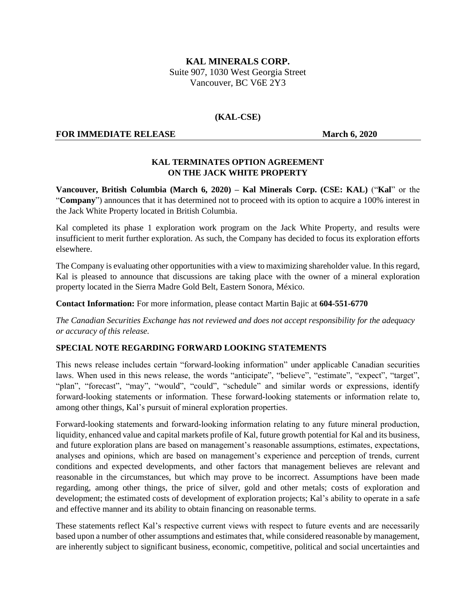# **KAL MINERALS CORP.** Suite 907, 1030 West Georgia Street Vancouver, BC V6E 2Y3

### **(KAL-CSE)**

### **FOR IMMEDIATE RELEASE March 6, 2020**

## **KAL TERMINATES OPTION AGREEMENT ON THE JACK WHITE PROPERTY**

**Vancouver, British Columbia (March 6, 2020) – Kal Minerals Corp. (CSE: KAL)** ("**Kal**" or the "**Company**") announces that it has determined not to proceed with its option to acquire a 100% interest in the Jack White Property located in British Columbia.

Kal completed its phase 1 exploration work program on the Jack White Property, and results were insufficient to merit further exploration. As such, the Company has decided to focus its exploration efforts elsewhere.

The Company is evaluating other opportunities with a view to maximizing shareholder value. In this regard, Kal is pleased to announce that discussions are taking place with the owner of a mineral exploration property located in the Sierra Madre Gold Belt, Eastern Sonora, México.

**Contact Information:** For more information, please contact Martin Bajic at **604-551-6770**

*The Canadian Securities Exchange has not reviewed and does not accept responsibility for the adequacy or accuracy of this release.*

#### **SPECIAL NOTE REGARDING FORWARD LOOKING STATEMENTS**

This news release includes certain "forward‐looking information" under applicable Canadian securities laws. When used in this news release, the words "anticipate", "believe", "estimate", "expect", "target", "plan", "forecast", "may", "would", "could", "schedule" and similar words or expressions, identify forward‐looking statements or information. These forward‐looking statements or information relate to, among other things, Kal's pursuit of mineral exploration properties.

Forward‐looking statements and forward‐looking information relating to any future mineral production, liquidity, enhanced value and capital markets profile of Kal, future growth potential for Kal and its business, and future exploration plans are based on management's reasonable assumptions, estimates, expectations, analyses and opinions, which are based on management's experience and perception of trends, current conditions and expected developments, and other factors that management believes are relevant and reasonable in the circumstances, but which may prove to be incorrect. Assumptions have been made regarding, among other things, the price of silver, gold and other metals; costs of exploration and development; the estimated costs of development of exploration projects; Kal's ability to operate in a safe and effective manner and its ability to obtain financing on reasonable terms.

These statements reflect Kal's respective current views with respect to future events and are necessarily based upon a number of other assumptions and estimates that, while considered reasonable by management, are inherently subject to significant business, economic, competitive, political and social uncertainties and